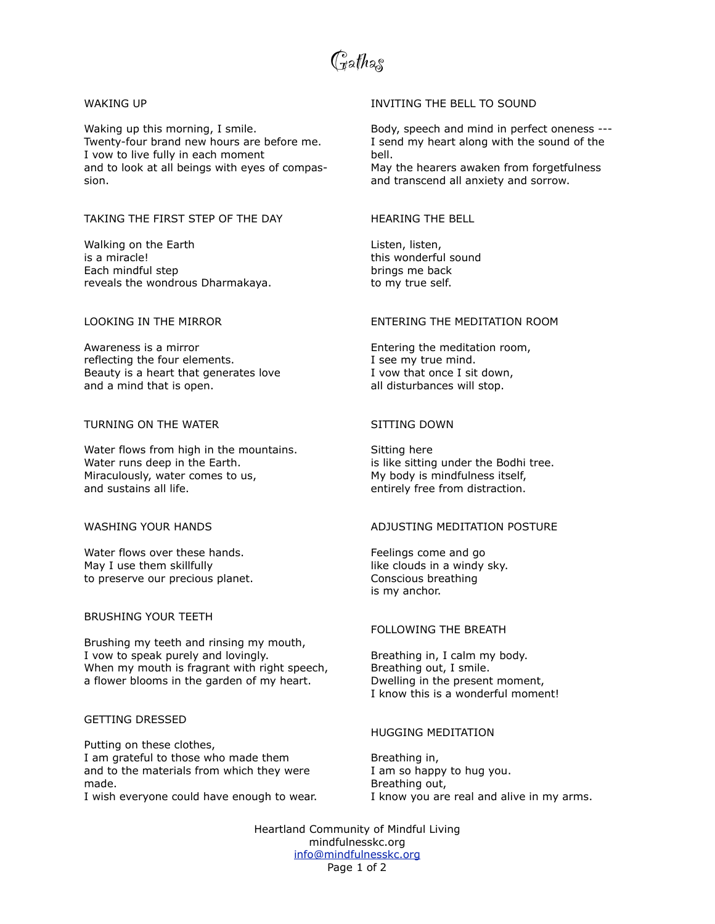Gathas

#### WAKING UP

Waking up this morning, I smile. Twenty-four brand new hours are before me. I vow to live fully in each moment and to look at all beings with eyes of compassion.

## TAKING THE FIRST STEP OF THE DAY

Walking on the Earth is a miracle! Each mindful step reveals the wondrous Dharmakaya.

### LOOKING IN THE MIRROR

Awareness is a mirror reflecting the four elements. Beauty is a heart that generates love and a mind that is open.

# TURNING ON THE WATER

Water flows from high in the mountains. Water runs deep in the Earth. Miraculously, water comes to us, and sustains all life.

### WASHING YOUR HANDS

Water flows over these hands. May I use them skillfully to preserve our precious planet.

### BRUSHING YOUR TEETH

Brushing my teeth and rinsing my mouth, I vow to speak purely and lovingly. When my mouth is fragrant with right speech, a flower blooms in the garden of my heart.

## GETTING DRESSED

Putting on these clothes, I am grateful to those who made them and to the materials from which they were made.

I wish everyone could have enough to wear.

## INVITING THE BELL TO SOUND

Body, speech and mind in perfect oneness --- I send my heart along with the sound of the bell.

May the hearers awaken from forgetfulness and transcend all anxiety and sorrow.

## HEARING THE BELL

Listen, listen, this wonderful sound brings me back to my true self.

## ENTERING THE MEDITATION ROOM

Entering the meditation room, I see my true mind. I vow that once I sit down, all disturbances will stop.

### SITTING DOWN

Sitting here is like sitting under the Bodhi tree. My body is mindfulness itself, entirely free from distraction.

### ADJUSTING MEDITATION POSTURE

Feelings come and go like clouds in a windy sky. Conscious breathing is my anchor.

#### FOLLOWING THE BREATH

Breathing in, I calm my body. Breathing out, I smile. Dwelling in the present moment, I know this is a wonderful moment!

## HUGGING MEDITATION

Breathing in, I am so happy to hug you. Breathing out, I know you are real and alive in my arms.

Heartland Community of Mindful Living mindfulnesskc.org [info@mindfulnesskc.org](mailto:info@mindfulnesskc.org) Page 1 of 2